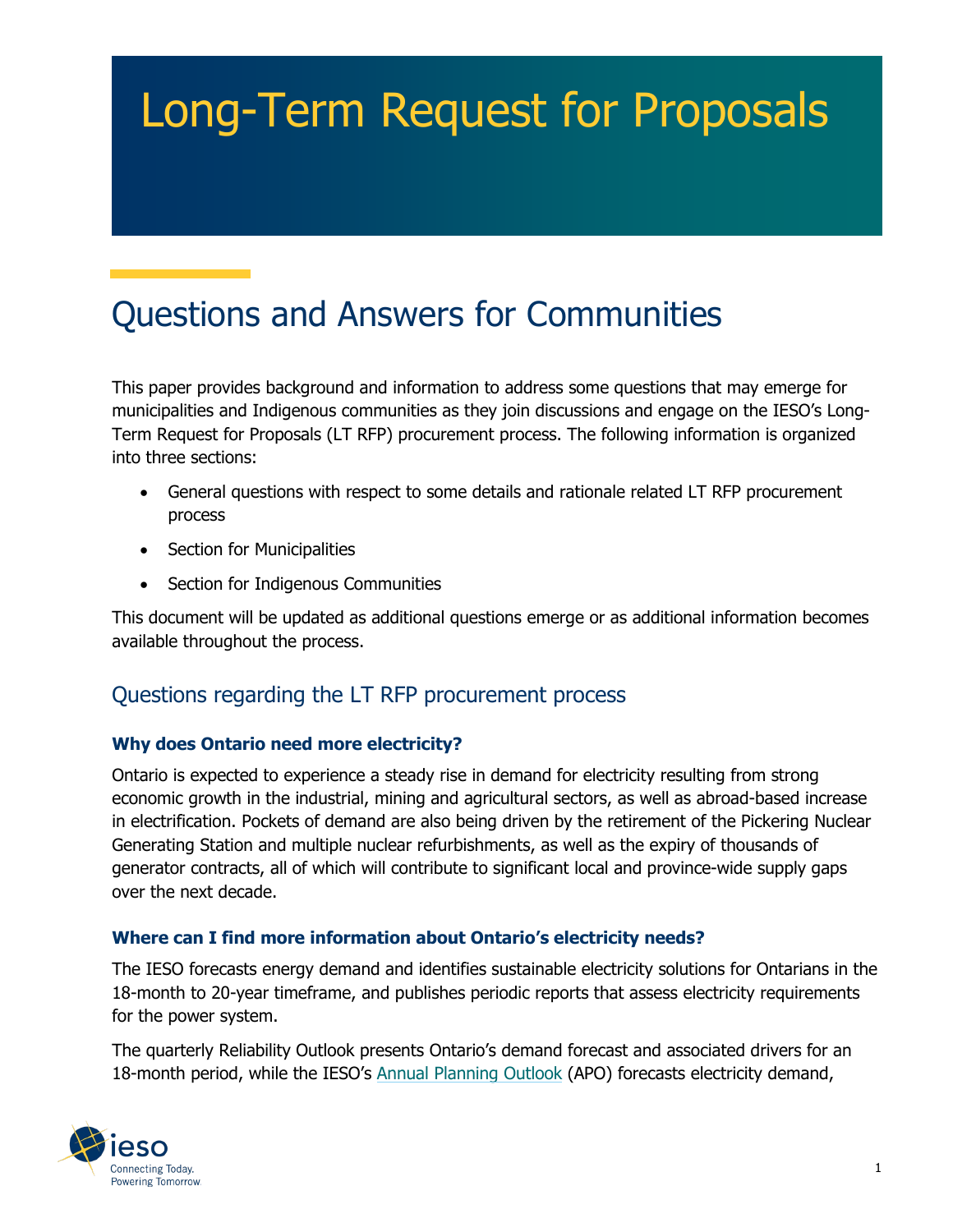# Long-Term Request for Proposals

# Questions and Answers for Communities

This paper provides background and information to address some questions that may emerge for municipalities and Indigenous communities as they join discussions and engage on the IESO's Long-Term Request for Proposals (LT RFP) procurement process. The following information is organized into three sections:

- General questions with respect to some details and rationale related LT RFP procurement process
- Section for Municipalities
- Section for Indigenous Communities

This document will be updated as additional questions emerge or as additional information becomes available throughout the process.

# Questions regarding the LT RFP procurement process

#### **Why does Ontario need more electricity?**

Ontario is expected to experience a steady rise in demand for electricity resulting from strong economic growth in the industrial, mining and agricultural sectors, as well as abroad-based increase in electrification. Pockets of demand are also being driven by the retirement of the Pickering Nuclear Generating Station and multiple nuclear refurbishments, as well as the expiry of thousands of generator contracts, all of which will contribute to significant local and province-wide supply gaps over the next decade.

#### **Where can I find more information about Ontario's electricity needs?**

The IESO forecasts energy demand and identifies sustainable electricity solutions for Ontarians in the 18-month to 20-year timeframe, and publishes periodic reports that assess electricity requirements for the power system.

The quarterly Reliability Outlook presents Ontario's demand forecast and associated drivers for an 18-month period, while the IESO's [Annual Planning Outlook](https://www.ieso.ca/en/Sector-Participants/Planning-and-Forecasting/Annual-Planning-Outlook) (APO) forecasts electricity demand,

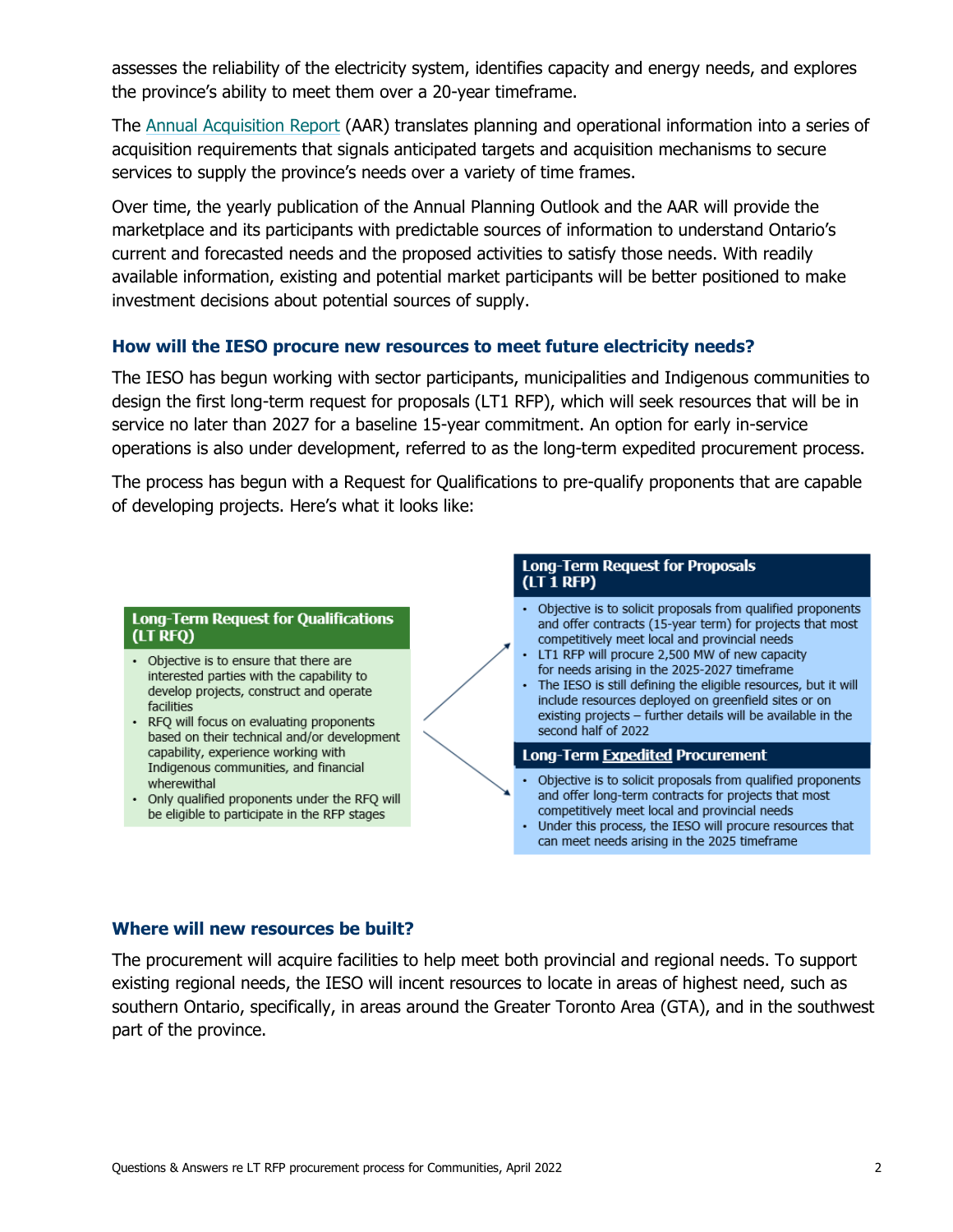assesses the reliability of the electricity system, identifies capacity and energy needs, and explores the province's ability to meet them over a 20-year timeframe.

The [Annual Acquisition Report](https://www.ieso.ca/en/Sector-Participants/Planning-and-Forecasting/Annual-Acquisition-Report) (AAR) translates planning and operational information into a series of acquisition requirements that signals anticipated targets and acquisition mechanisms to secure services to supply the province's needs over a variety of time frames.

Over time, the yearly publication of the Annual Planning Outlook and the AAR will provide the marketplace and its participants with predictable sources of information to understand Ontario's current and forecasted needs and the proposed activities to satisfy those needs. With readily available information, existing and potential market participants will be better positioned to make investment decisions about potential sources of supply.

#### **How will the IESO procure new resources to meet future electricity needs?**

The IESO has begun working with sector participants, municipalities and Indigenous communities to design the first long-term request for proposals (LT1 RFP), which will seek resources that will be in service no later than 2027 for a baseline 15-year commitment. An option for early in-service operations is also under development, referred to as the long-term expedited procurement process.

The process has begun with a Request for Qualifications to pre-qualify proponents that are capable of developing projects. Here's what it looks like:

#### **Long-Term Request for Qualifications** (LT RFO)

- Objective is to ensure that there are interested parties with the capability to develop projects, construct and operate facilities
- RFQ will focus on evaluating proponents based on their technical and/or development capability, experience working with Indigenous communities, and financial wherewithal
- Only qualified proponents under the RFQ will be eligible to participate in the RFP stages



#### **Where will new resources be built?**

The procurement will acquire facilities to help meet both provincial and regional needs. To support existing regional needs, the IESO will incent resources to locate in areas of highest need, such as southern Ontario, specifically, in areas around the Greater Toronto Area (GTA), and in the southwest part of the province.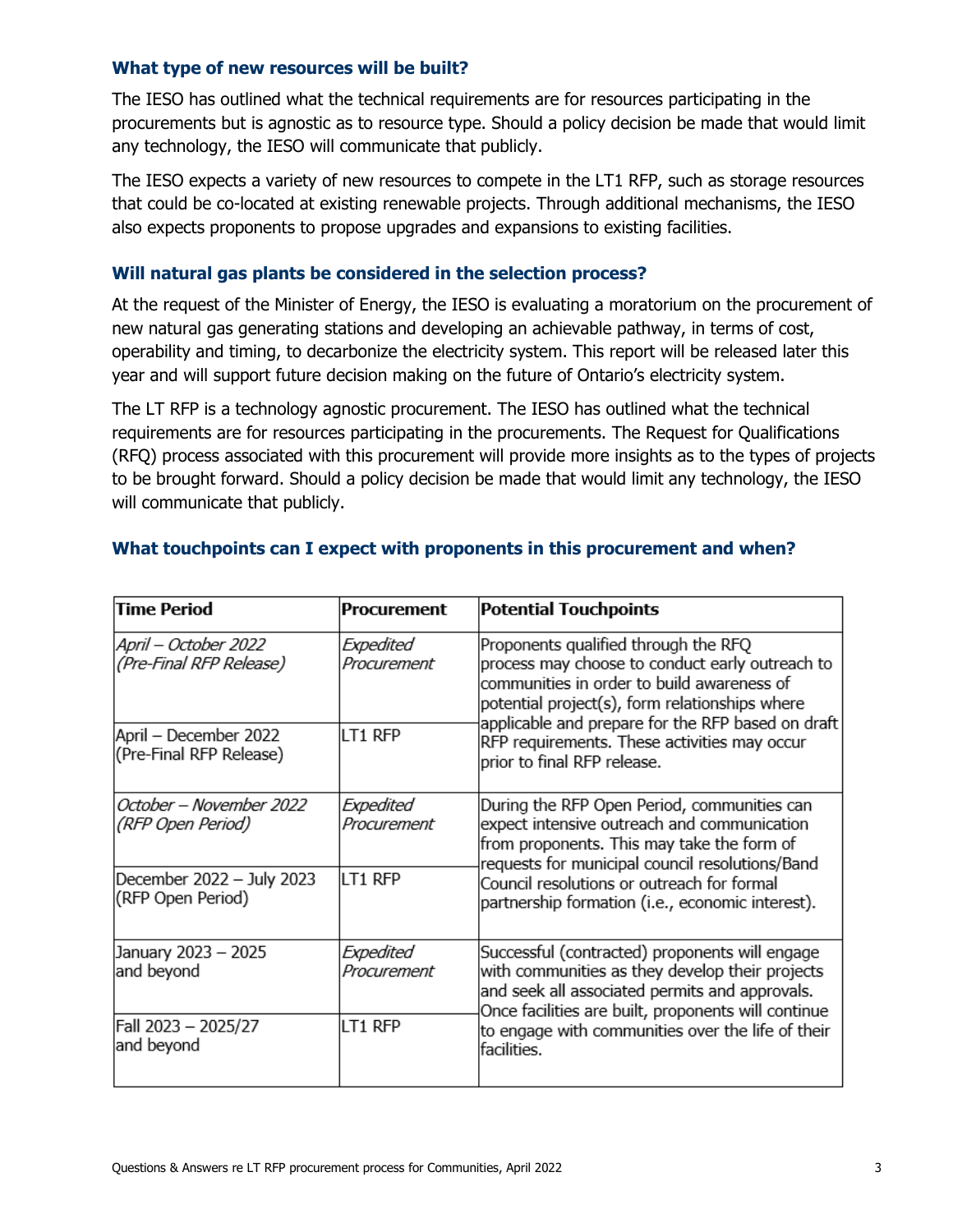#### **What type of new resources will be built?**

The IESO has outlined what the technical requirements are for resources participating in the procurements but is agnostic as to resource type. Should a policy decision be made that would limit any technology, the IESO will communicate that publicly.

The IESO expects a variety of new resources to compete in the LT1 RFP, such as storage resources that could be co-located at existing renewable projects. Through additional mechanisms, the IESO also expects proponents to propose upgrades and expansions to existing facilities.

#### **Will natural gas plants be considered in the selection process?**

At the request of the Minister of Energy, the IESO is evaluating a moratorium on the procurement of new natural gas generating stations and developing an achievable pathway, in terms of cost, operability and timing, to decarbonize the electricity system. This report will be released later this year and will support future decision making on the future of Ontario's electricity system.

The LT RFP is a technology agnostic procurement. The IESO has outlined what the technical requirements are for resources participating in the procurements. The Request for Qualifications (RFQ) process associated with this procurement will provide more insights as to the types of projects to be brought forward. Should a policy decision be made that would limit any technology, the IESO will communicate that publicly.

| <b>Time Period</b>                               | Procurement              | <b>Potential Touchpoints</b>                                                                                                                                                                                                                                                                                                |
|--------------------------------------------------|--------------------------|-----------------------------------------------------------------------------------------------------------------------------------------------------------------------------------------------------------------------------------------------------------------------------------------------------------------------------|
| April – October 2022<br>(Pre-Final RFP Release)  | Expedited<br>Procurement | Proponents qualified through the RFQ<br>process may choose to conduct early outreach to<br>communities in order to build awareness of<br>potential project(s), form relationships where<br>applicable and prepare for the RFP based on draft<br>RFP requirements. These activities may occur<br>prior to final RFP release. |
| April – December 2022<br>(Pre-Final RFP Release) | LT1 RFP                  |                                                                                                                                                                                                                                                                                                                             |
| October – November 2022<br>(RFP Open Period)     | Expedited<br>Procurement | During the RFP Open Period, communities can<br>expect intensive outreach and communication<br>from proponents. This may take the form of<br>requests for municipal council resolutions/Band<br>Council resolutions or outreach for formal<br>partnership formation (i.e., economic interest).                               |
| December 2022 - July 2023<br>(RFP Open Period)   | LT1 RFP                  |                                                                                                                                                                                                                                                                                                                             |
| January 2023 - 2025<br>and beyond                | Expedited<br>Procurement | Successful (contracted) proponents will engage<br>with communities as they develop their projects<br>and seek all associated permits and approvals.<br>Once facilities are built, proponents will continue<br>to engage with communities over the life of their<br>facilities.                                              |
| Fall 2023 - 2025/27<br>and beyond                | LT1 RFP                  |                                                                                                                                                                                                                                                                                                                             |

#### **What touchpoints can I expect with proponents in this procurement and when?**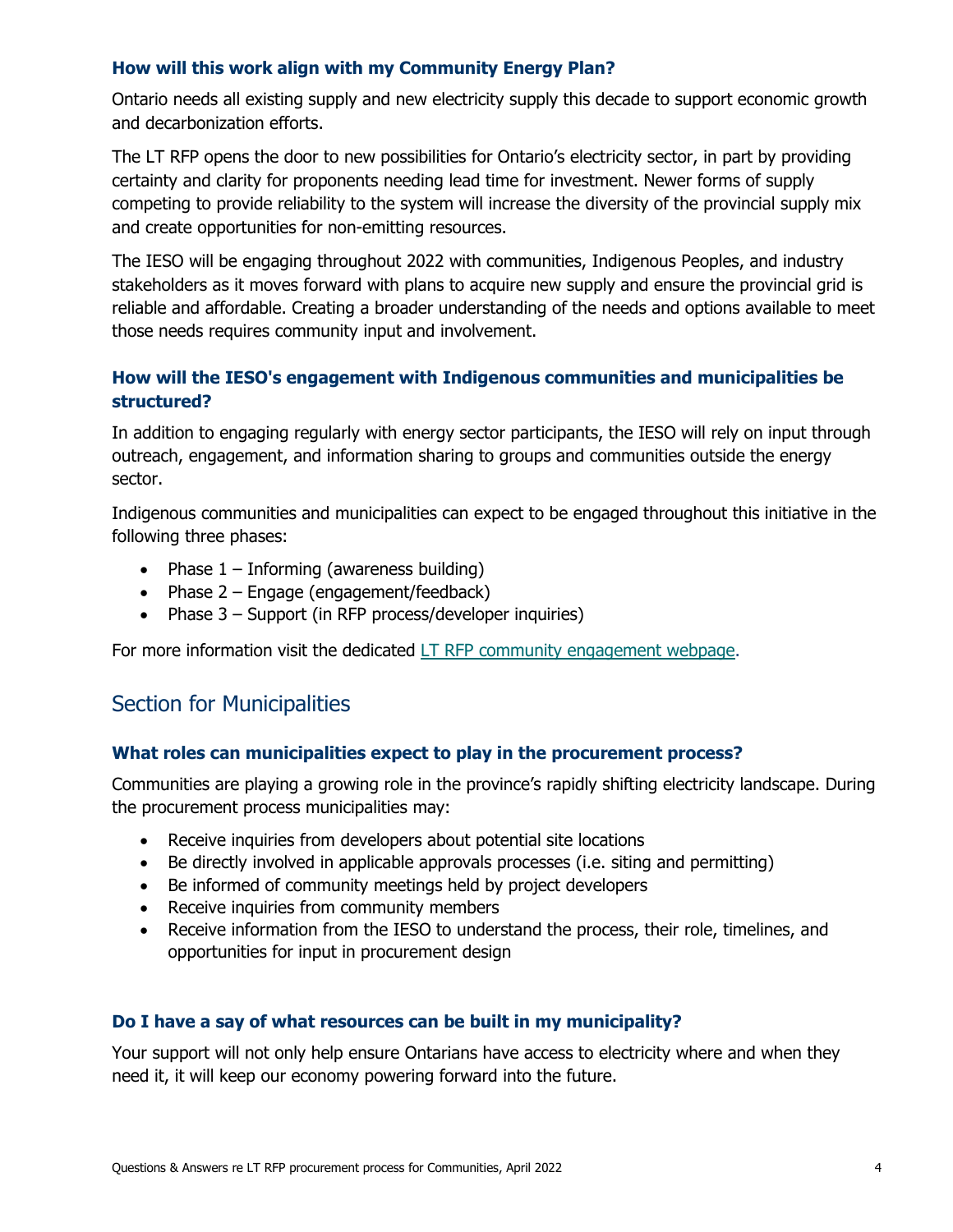#### **How will this work align with my Community Energy Plan?**

Ontario needs all existing supply and new electricity supply this decade to support economic growth and decarbonization efforts.

The LT RFP opens the door to new possibilities for Ontario's electricity sector, in part by providing certainty and clarity for proponents needing lead time for investment. Newer forms of supply competing to provide reliability to the system will increase the diversity of the provincial supply mix and create opportunities for non-emitting resources.

The IESO will be engaging throughout 2022 with communities, Indigenous Peoples, and industry stakeholders as it moves forward with plans to acquire new supply and ensure the provincial grid is reliable and affordable. Creating a broader understanding of the needs and options available to meet those needs requires community input and involvement.

#### **How will the IESO's engagement with Indigenous communities and municipalities be structured?**

In addition to engaging regularly with energy sector participants, the IESO will rely on input through outreach, engagement, and information sharing to groups and communities outside the energy sector.

Indigenous communities and municipalities can expect to be engaged throughout this initiative in the following three phases:

- Phase  $1 -$  Informing (awareness building)
- Phase 2 Engage (engagement/feedback)
- Phase 3 Support (in RFP process/developer inquiries)

For more information visit the dedicated [LT RFP community engagement webpage.](https://www.ieso.ca/en/Sector-Participants/Engagement-Initiatives/Engagements/Long-Term-RFP-Community-Engagement)

### Section for Municipalities

#### **What roles can municipalities expect to play in the procurement process?**

Communities are playing a growing role in the province's rapidly shifting electricity landscape. During the procurement process municipalities may:

- Receive inquiries from developers about potential site locations
- Be directly involved in applicable approvals processes (i.e. siting and permitting)
- Be informed of community meetings held by project developers
- Receive inquiries from community members
- Receive information from the IESO to understand the process, their role, timelines, and opportunities for input in procurement design

#### **Do I have a say of what resources can be built in my municipality?**

Your support will not only help ensure Ontarians have access to electricity where and when they need it, it will keep our economy powering forward into the future.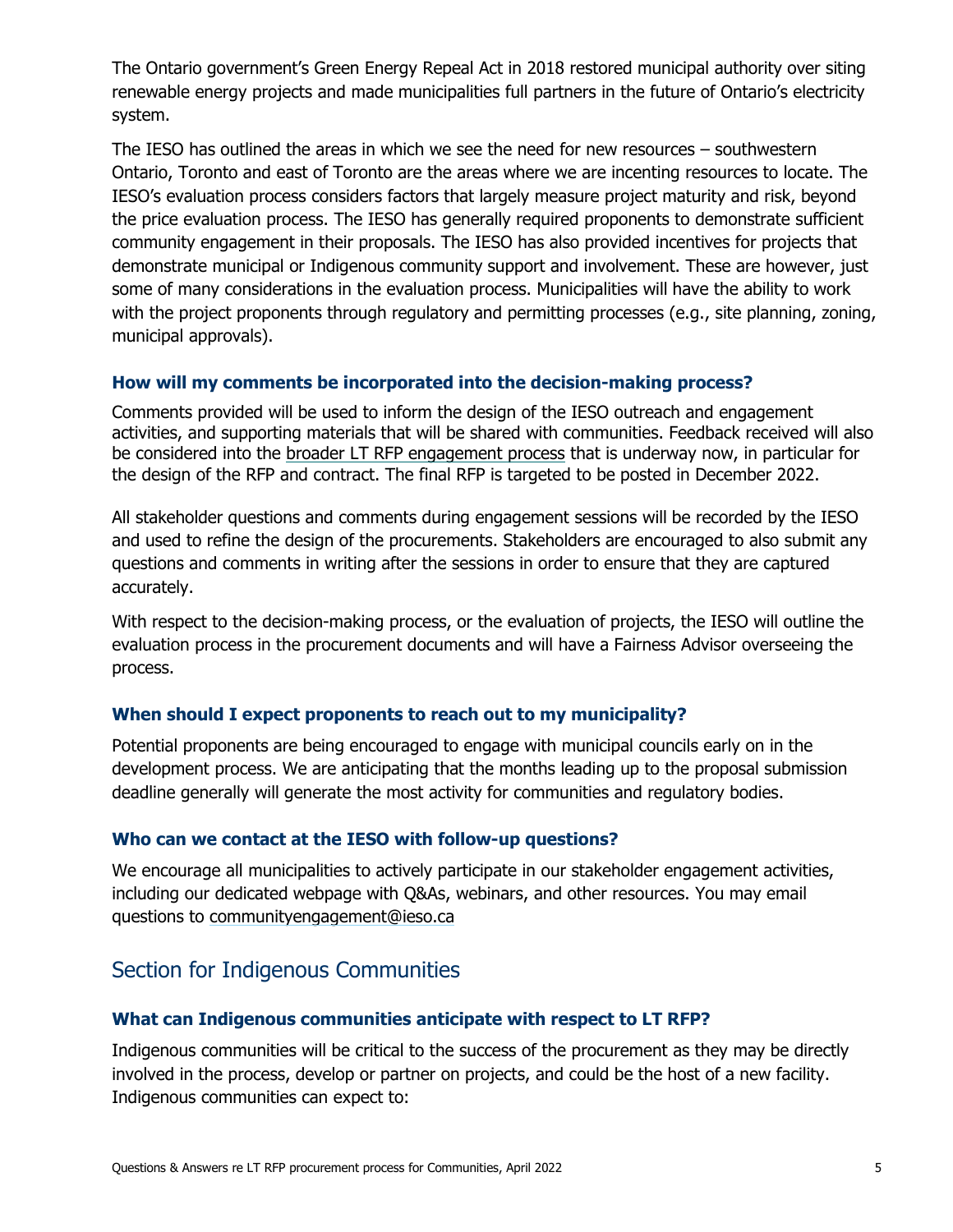The Ontario government's Green Energy Repeal Act in 2018 restored municipal authority over siting renewable energy projects and made municipalities full partners in the future of Ontario's electricity system.

The IESO has outlined the areas in which we see the need for new resources – southwestern Ontario, Toronto and east of Toronto are the areas where we are incenting resources to locate. The IESO's evaluation process considers factors that largely measure project maturity and risk, beyond the price evaluation process. The IESO has generally required proponents to demonstrate sufficient community engagement in their proposals. The IESO has also provided incentives for projects that demonstrate municipal or Indigenous community support and involvement. These are however, just some of many considerations in the evaluation process. Municipalities will have the ability to work with the project proponents through regulatory and permitting processes (e.g., site planning, zoning, municipal approvals).

#### **How will my comments be incorporated into the decision-making process?**

Comments provided will be used to inform the design of the IESO outreach and engagement activities, and supporting materials that will be shared with communities. Feedback received will also be considered into the [broader LT RFP engagement process](https://www.ieso.ca/en/Sector-Participants/Engagement-Initiatives/Engagements/Long-Term-RFP#:%7E:text=The%20Long-Term%20RFP%20engagement%20plan%20outlines%20the%20objectives%2C,to%20review%20and%20updates%20as%20the%20process%20evolves.?msclkid=480a6296b1fb11ecb7b9832b63932ce7) that is underway now, in particular for the design of the RFP and contract. The final RFP is targeted to be posted in December 2022.

All stakeholder questions and comments during engagement sessions will be recorded by the IESO and used to refine the design of the procurements. Stakeholders are encouraged to also submit any questions and comments in writing after the sessions in order to ensure that they are captured accurately.

With respect to the decision-making process, or the evaluation of projects, the IESO will outline the evaluation process in the procurement documents and will have a Fairness Advisor overseeing the process.

#### **When should I expect proponents to reach out to my municipality?**

Potential proponents are being encouraged to engage with municipal councils early on in the development process. We are anticipating that the months leading up to the proposal submission deadline generally will generate the most activity for communities and regulatory bodies.

#### **Who can we contact at the IESO with follow-up questions?**

We encourage all municipalities to actively participate in our stakeholder engagement activities, including our dedicated webpage with Q&As, webinars, and other resources. You may email questions to [communityengagement@ieso.ca](mailto:communityengagement@ieso.ca)

## Section for Indigenous Communities

#### **What can Indigenous communities anticipate with respect to LT RFP?**

Indigenous communities will be critical to the success of the procurement as they may be directly involved in the process, develop or partner on projects, and could be the host of a new facility. Indigenous communities can expect to: